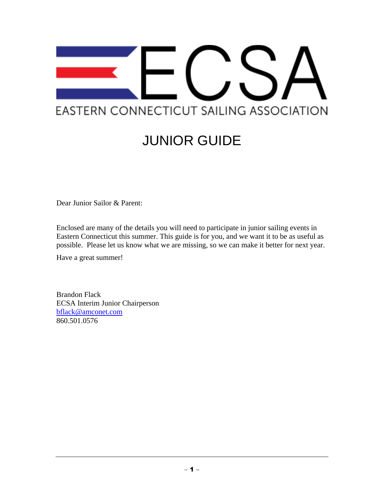

# JUNIOR GUIDE

Dear Junior Sailor & Parent:

Enclosed are many of the details you will need to participate in junior sailing events in Eastern Connecticut this summer. This guide is for you, and we want it to be as useful as possible. Please let us know what we are missing, so we can make it better for next year.

Have a great summer!

Brandon Flack ECSA Interim Junior Chairperson [bflack@amconet.com](mailto:bflack@amconet.com) 860.501.0576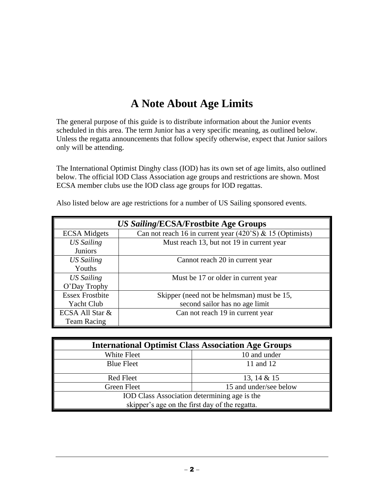## **A Note About Age Limits**

The general purpose of this guide is to distribute information about the Junior events scheduled in this area. The term Junior has a very specific meaning, as outlined below. Unless the regatta announcements that follow specify otherwise, expect that Junior sailors only will be attending.

The International Optimist Dinghy class (IOD) has its own set of age limits, also outlined below. The official IOD Class Association age groups and restrictions are shown. Most ECSA member clubs use the IOD class age groups for IOD regattas.

| US Sailing/ECSA/Frostbite Age Groups |                                                               |  |
|--------------------------------------|---------------------------------------------------------------|--|
| <b>ECSA</b> Midgets                  | Can not reach 16 in current year $(420)$ 'S) & 15 (Optimists) |  |
| <b>US Sailing</b>                    | Must reach 13, but not 19 in current year                     |  |
| <b>Juniors</b>                       |                                                               |  |
| <b>US Sailing</b>                    | Cannot reach 20 in current year                               |  |
| Youths                               |                                                               |  |
| <b>US Sailing</b>                    | Must be 17 or older in current year                           |  |
| O'Day Trophy                         |                                                               |  |
| <b>Essex Frostbite</b>               | Skipper (need not be helmsman) must be 15,                    |  |
| Yacht Club                           | second sailor has no age limit                                |  |
| ECSA All Star &                      | Can not reach 19 in current year                              |  |
| <b>Team Racing</b>                   |                                                               |  |

Also listed below are age restrictions for a number of US Sailing sponsored events.

| <b>International Optimist Class Association Age Groups</b> |                        |  |  |
|------------------------------------------------------------|------------------------|--|--|
| White Fleet                                                | 10 and under           |  |  |
| <b>Blue Fleet</b>                                          | 11 and 12              |  |  |
| <b>Red Fleet</b>                                           | 13, 14 $&$ 15          |  |  |
| Green Fleet                                                | 15 and under/see below |  |  |
| IOD Class Association determining age is the               |                        |  |  |
| skipper's age on the first day of the regatta.             |                        |  |  |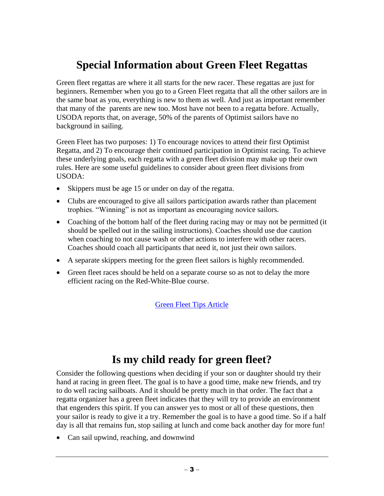### **Special Information about Green Fleet Regattas**

Green fleet regattas are where it all starts for the new racer. These regattas are just for beginners. Remember when you go to a Green Fleet regatta that all the other sailors are in the same boat as you, everything is new to them as well. And just as important remember that many of the parents are new too. Most have not been to a regatta before. Actually, USODA reports that, on average, 50% of the parents of Optimist sailors have no background in sailing.

Green Fleet has two purposes: 1) To encourage novices to attend their first Optimist Regatta, and 2) To encourage their continued participation in Optimist racing. To achieve these underlying goals, each regatta with a green fleet division may make up their own rules. Here are some useful guidelines to consider about green fleet divisions from USODA:

- Skippers must be age 15 or under on day of the regatta.
- Clubs are encouraged to give all sailors participation awards rather than placement trophies. "Winning" is not as important as encouraging novice sailors.
- Coaching of the bottom half of the fleet during racing may or may not be permitted (it should be spelled out in the sailing instructions). Coaches should use due caution when coaching to not cause wash or other actions to interfere with other racers. Coaches should coach all participants that need it, not just their own sailors.
- A separate skippers meeting for the green fleet sailors is highly recommended.
- Green fleet races should be held on a separate course so as not to delay the more efficient racing on the Red-White-Blue course.

[Green Fleet Tips Article](http://www.windcheckmagazine.com/green_fleet_always_leave_them_wanting_more)

### **Is my child ready for green fleet?**

Consider the following questions when deciding if your son or daughter should try their hand at racing in green fleet. The goal is to have a good time, make new friends, and try to do well racing sailboats. And it should be pretty much in that order. The fact that a regatta organizer has a green fleet indicates that they will try to provide an environment that engenders this spirit. If you can answer yes to most or all of these questions, then your sailor is ready to give it a try. Remember the goal is to have a good time. So if a half day is all that remains fun, stop sailing at lunch and come back another day for more fun!

Can sail upwind, reaching, and downwind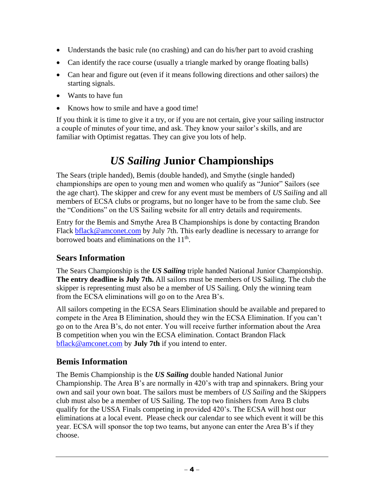- Understands the basic rule (no crashing) and can do his/her part to avoid crashing
- Can identify the race course (usually a triangle marked by orange floating balls)
- Can hear and figure out (even if it means following directions and other sailors) the starting signals.
- Wants to have fun
- Knows how to smile and have a good time!

If you think it is time to give it a try, or if you are not certain, give your sailing instructor a couple of minutes of your time, and ask. They know your sailor's skills, and are familiar with Optimist regattas. They can give you lots of help.

# *US Sailing* **Junior Championships**

The Sears (triple handed), Bemis (double handed), and Smythe (single handed) championships are open to young men and women who qualify as "Junior" Sailors (see the age chart). The skipper and crew for any event must be members of *US Sailing* and all members of ECSA clubs or programs, but no longer have to be from the same club. See the "Conditions" on the US Sailing website for all entry details and requirements.

Entry for the Bemis and Smythe Area B Championships is done by contacting Brandon Flack [bflack@amconet.com](mailto:bflack@amconet.com) by July 7th. This early deadline is necessary to arrange for borrowed boats and eliminations on the  $11<sup>th</sup>$ .

### **Sears Information**

The Sears Championship is the *US Sailing* triple handed National Junior Championship. **The entry deadline is July 7th.** All sailors must be members of US Sailing. The club the skipper is representing must also be a member of US Sailing. Only the winning team from the ECSA eliminations will go on to the Area B's.

All sailors competing in the ECSA Sears Elimination should be available and prepared to compete in the Area B Elimination, should they win the ECSA Elimination. If you can't go on to the Area B's, do not enter. You will receive further information about the Area B competition when you win the ECSA elimination. Contact Brandon Flack [bflack@amconet.com](mailto:bflack@amconet.com) by **July 7th** if you intend to enter.

### **Bemis Information**

The Bemis Championship is the *US Sailing* double handed National Junior Championship. The Area B's are normally in 420's with trap and spinnakers. Bring your own and sail your own boat. The sailors must be members of *US Sailing* and the Skippers club must also be a member of US Sailing. The top two finishers from Area B clubs qualify for the USSA Finals competing in provided 420's. The ECSA will host our eliminations at a local event. Please check our calendar to see which event it will be this year. ECSA will sponsor the top two teams, but anyone can enter the Area B's if they choose.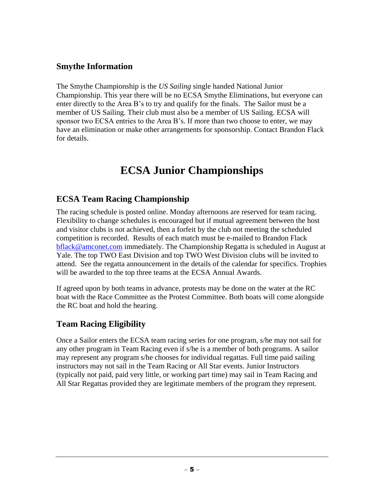#### **Smythe Information**

The Smythe Championship is the *US Sailing* single handed National Junior Championship. This year there will be no ECSA Smythe Eliminations, but everyone can enter directly to the Area B's to try and qualify for the finals. The Sailor must be a member of US Sailing. Their club must also be a member of US Sailing. ECSA will sponsor two ECSA entries to the Area B's. If more than two choose to enter, we may have an elimination or make other arrangements for sponsorship. Contact Brandon Flack for details.

### **ECSA Junior Championships**

#### **ECSA Team Racing Championship**

The racing schedule is posted online. Monday afternoons are reserved for team racing. Flexibility to change schedules is encouraged but if mutual agreement between the host and visitor clubs is not achieved, then a forfeit by the club not meeting the scheduled competition is recorded. Results of each match must be e-mailed to Brandon Flack [bflack@amconet.com](mailto:bflack@amconet.com) immediately. The Championship Regatta is scheduled in August at Yale. The top TWO East Division and top TWO West Division clubs will be invited to attend. See the regatta announcement in the details of the calendar for specifics. Trophies will be awarded to the top three teams at the ECSA Annual Awards.

If agreed upon by both teams in advance, protests may be done on the water at the RC boat with the Race Committee as the Protest Committee. Both boats will come alongside the RC boat and hold the hearing.

#### **Team Racing Eligibility**

Once a Sailor enters the ECSA team racing series for one program, s/he may not sail for any other program in Team Racing even if s/he is a member of both programs. A sailor may represent any program s/he chooses for individual regattas. Full time paid sailing instructors may not sail in the Team Racing or All Star events. Junior Instructors (typically not paid, paid very little, or working part time) may sail in Team Racing and All Star Regattas provided they are legitimate members of the program they represent.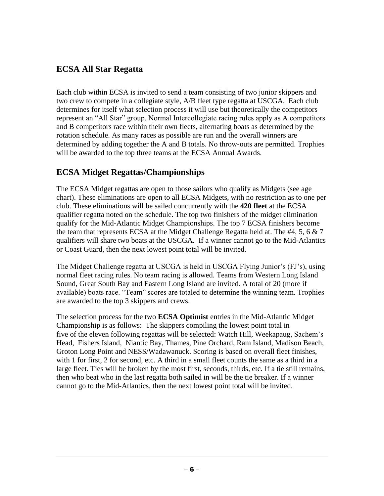#### **ECSA All Star Regatta**

Each club within ECSA is invited to send a team consisting of two junior skippers and two crew to compete in a collegiate style, A/B fleet type regatta at USCGA. Each club determines for itself what selection process it will use but theoretically the competitors represent an "All Star" group. Normal Intercollegiate racing rules apply as A competitors and B competitors race within their own fleets, alternating boats as determined by the rotation schedule. As many races as possible are run and the overall winners are determined by adding together the A and B totals. No throw-outs are permitted. Trophies will be awarded to the top three teams at the ECSA Annual Awards.

#### **ECSA Midget Regattas/Championships**

The ECSA Midget regattas are open to those sailors who qualify as Midgets (see age chart). These eliminations are open to all ECSA Midgets, with no restriction as to one per club. These eliminations will be sailed concurrently with the **420 fleet** at the ECSA qualifier regatta noted on the schedule. The top two finishers of the midget elimination qualify for the Mid-Atlantic Midget Championships. The top 7 ECSA finishers become the team that represents ECSA at the Midget Challenge Regatta held at. The #4, 5, 6 & 7 qualifiers will share two boats at the USCGA. If a winner cannot go to the Mid-Atlantics or Coast Guard, then the next lowest point total will be invited.

The Midget Challenge regatta at USCGA is held in USCGA Flying Junior's (FJ's), using normal fleet racing rules. No team racing is allowed. Teams from Western Long Island Sound, Great South Bay and Eastern Long Island are invited. A total of 20 (more if available) boats race. "Team" scores are totaled to determine the winning team. Trophies are awarded to the top 3 skippers and crews.

The selection process for the two **ECSA Optimist** entries in the Mid-Atlantic Midget Championship is as follows: The skippers compiling the lowest point total in five of the eleven following regattas will be selected: Watch Hill, Weekapaug, Sachem's Head, Fishers Island, Niantic Bay, Thames, Pine Orchard, Ram Island, Madison Beach, Groton Long Point and NESS/Wadawanuck. Scoring is based on overall fleet finishes, with 1 for first, 2 for second, etc. A third in a small fleet counts the same as a third in a large fleet. Ties will be broken by the most first, seconds, thirds, etc. If a tie still remains, then who beat who in the last regatta both sailed in will be the tie breaker. If a winner cannot go to the Mid-Atlantics, then the next lowest point total will be invited.